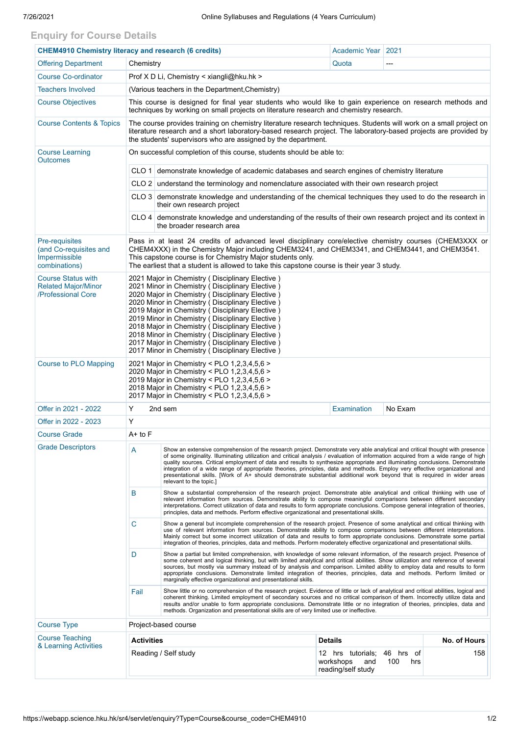## **Enquiry for Course Details**

|                                                                                                                                                                                                                                                                                                                                                                                                                                                                                                                                                                                                                                                                                               | <b>CHEM4910 Chemistry literacy and research (6 credits)</b>                                                                                                                                                                                                                                                                                                                                                                                                                                                                                                                               | Academic Year   2021                                                                         |                                                                        |                                                                                                           |  |  |
|-----------------------------------------------------------------------------------------------------------------------------------------------------------------------------------------------------------------------------------------------------------------------------------------------------------------------------------------------------------------------------------------------------------------------------------------------------------------------------------------------------------------------------------------------------------------------------------------------------------------------------------------------------------------------------------------------|-------------------------------------------------------------------------------------------------------------------------------------------------------------------------------------------------------------------------------------------------------------------------------------------------------------------------------------------------------------------------------------------------------------------------------------------------------------------------------------------------------------------------------------------------------------------------------------------|----------------------------------------------------------------------------------------------|------------------------------------------------------------------------|-----------------------------------------------------------------------------------------------------------|--|--|
|                                                                                                                                                                                                                                                                                                                                                                                                                                                                                                                                                                                                                                                                                               |                                                                                                                                                                                                                                                                                                                                                                                                                                                                                                                                                                                           | Quota                                                                                        | ---                                                                    |                                                                                                           |  |  |
| Prof X D Li, Chemistry < xiangli@hku.hk >                                                                                                                                                                                                                                                                                                                                                                                                                                                                                                                                                                                                                                                     |                                                                                                                                                                                                                                                                                                                                                                                                                                                                                                                                                                                           |                                                                                              |                                                                        |                                                                                                           |  |  |
| (Various teachers in the Department, Chemistry)                                                                                                                                                                                                                                                                                                                                                                                                                                                                                                                                                                                                                                               |                                                                                                                                                                                                                                                                                                                                                                                                                                                                                                                                                                                           |                                                                                              |                                                                        |                                                                                                           |  |  |
| This course is designed for final year students who would like to gain experience on research methods and<br>techniques by working on small projects on literature research and chemistry research.                                                                                                                                                                                                                                                                                                                                                                                                                                                                                           |                                                                                                                                                                                                                                                                                                                                                                                                                                                                                                                                                                                           |                                                                                              |                                                                        |                                                                                                           |  |  |
| The course provides training on chemistry literature research techniques. Students will work on a small project on<br>literature research and a short laboratory-based research project. The laboratory-based projects are provided by<br>the students' supervisors who are assigned by the department.                                                                                                                                                                                                                                                                                                                                                                                       |                                                                                                                                                                                                                                                                                                                                                                                                                                                                                                                                                                                           |                                                                                              |                                                                        |                                                                                                           |  |  |
| On successful completion of this course, students should be able to:                                                                                                                                                                                                                                                                                                                                                                                                                                                                                                                                                                                                                          |                                                                                                                                                                                                                                                                                                                                                                                                                                                                                                                                                                                           |                                                                                              |                                                                        |                                                                                                           |  |  |
| CLO 1 demonstrate knowledge of academic databases and search engines of chemistry literature                                                                                                                                                                                                                                                                                                                                                                                                                                                                                                                                                                                                  |                                                                                                                                                                                                                                                                                                                                                                                                                                                                                                                                                                                           |                                                                                              |                                                                        |                                                                                                           |  |  |
|                                                                                                                                                                                                                                                                                                                                                                                                                                                                                                                                                                                                                                                                                               |                                                                                                                                                                                                                                                                                                                                                                                                                                                                                                                                                                                           |                                                                                              |                                                                        |                                                                                                           |  |  |
|                                                                                                                                                                                                                                                                                                                                                                                                                                                                                                                                                                                                                                                                                               | CLO 3 demonstrate knowledge and understanding of the chemical techniques they used to do the research in                                                                                                                                                                                                                                                                                                                                                                                                                                                                                  |                                                                                              |                                                                        |                                                                                                           |  |  |
|                                                                                                                                                                                                                                                                                                                                                                                                                                                                                                                                                                                                                                                                                               | CLO 4 demonstrate knowledge and understanding of the results of their own research project and its context in                                                                                                                                                                                                                                                                                                                                                                                                                                                                             |                                                                                              |                                                                        |                                                                                                           |  |  |
| Pass in at least 24 credits of advanced level disciplinary core/elective chemistry courses (CHEM3XXX or<br>CHEM4XXX) in the Chemistry Major including CHEM3241, and CHEM3341, and CHEM3441, and CHEM3541.<br>This capstone course is for Chemistry Major students only.<br>The earliest that a student is allowed to take this capstone course is their year 3 study.                                                                                                                                                                                                                                                                                                                         |                                                                                                                                                                                                                                                                                                                                                                                                                                                                                                                                                                                           |                                                                                              |                                                                        |                                                                                                           |  |  |
| 2021 Major in Chemistry (Disciplinary Elective)<br>2021 Minor in Chemistry (Disciplinary Elective)<br>2020 Major in Chemistry (Disciplinary Elective)<br>2020 Minor in Chemistry ( Disciplinary Elective )<br>2019 Major in Chemistry (Disciplinary Elective)<br>2019 Minor in Chemistry (Disciplinary Elective)<br>2018 Major in Chemistry (Disciplinary Elective)<br>2018 Minor in Chemistry (Disciplinary Elective)<br>2017 Major in Chemistry (Disciplinary Elective)<br>2017 Minor in Chemistry (Disciplinary Elective)                                                                                                                                                                  |                                                                                                                                                                                                                                                                                                                                                                                                                                                                                                                                                                                           |                                                                                              |                                                                        |                                                                                                           |  |  |
| 2021 Major in Chemistry < PLO 1,2,3,4,5,6 ><br>2020 Major in Chemistry < PLO 1,2,3,4,5,6 ><br>2019 Major in Chemistry < PLO 1,2,3,4,5,6 ><br>2018 Major in Chemistry < PLO 1,2,3,4,5,6 ><br>2017 Major in Chemistry < PLO 1,2,3,4,5,6 >                                                                                                                                                                                                                                                                                                                                                                                                                                                       |                                                                                                                                                                                                                                                                                                                                                                                                                                                                                                                                                                                           |                                                                                              |                                                                        |                                                                                                           |  |  |
| Y<br>2nd sem<br><b>Examination</b><br>No Exam                                                                                                                                                                                                                                                                                                                                                                                                                                                                                                                                                                                                                                                 |                                                                                                                                                                                                                                                                                                                                                                                                                                                                                                                                                                                           |                                                                                              |                                                                        |                                                                                                           |  |  |
| Y                                                                                                                                                                                                                                                                                                                                                                                                                                                                                                                                                                                                                                                                                             |                                                                                                                                                                                                                                                                                                                                                                                                                                                                                                                                                                                           |                                                                                              |                                                                        |                                                                                                           |  |  |
| A+ to F                                                                                                                                                                                                                                                                                                                                                                                                                                                                                                                                                                                                                                                                                       |                                                                                                                                                                                                                                                                                                                                                                                                                                                                                                                                                                                           |                                                                                              |                                                                        |                                                                                                           |  |  |
| A<br>Show an extensive comprehension of the research project. Demonstrate very able analytical and critical thought with presence<br>of some originality. Illuminating utilization and critical analysis / evaluation of information acquired from a wide range of high<br>quality sources. Critical employment of data and results to synthesize appropriate and illuminating conclusions. Demonstrate<br>integration of a wide range of appropriate theories, principles, data and methods. Employ very effective organizational and<br>presentational skills. [Work of A+ should demonstrate substantial additional work beyond that is required in wider areas<br>relevant to the topic.] |                                                                                                                                                                                                                                                                                                                                                                                                                                                                                                                                                                                           |                                                                                              |                                                                        |                                                                                                           |  |  |
| B                                                                                                                                                                                                                                                                                                                                                                                                                                                                                                                                                                                                                                                                                             | Show a substantial comprehension of the research project. Demonstrate able analytical and critical thinking with use of<br>relevant information from sources. Demonstrate ability to compose meaningful comparisons between different secondary<br>interpretations. Correct utilization of data and results to form appropriate conclusions. Compose general integration of theories,<br>principles, data and methods. Perform effective organizational and presentational skills.                                                                                                        |                                                                                              |                                                                        |                                                                                                           |  |  |
| C                                                                                                                                                                                                                                                                                                                                                                                                                                                                                                                                                                                                                                                                                             | Show a general but incomplete comprehension of the research project. Presence of some analytical and critical thinking with<br>use of relevant information from sources. Demonstrate ability to compose comparisons between different interpretations.<br>Mainly correct but some incorrect utilization of data and results to form appropriate conclusions. Demonstrate some partial<br>integration of theories, principles, data and methods. Perform moderately effective organizational and presentational skills.                                                                    |                                                                                              |                                                                        |                                                                                                           |  |  |
| D                                                                                                                                                                                                                                                                                                                                                                                                                                                                                                                                                                                                                                                                                             | Show a partial but limited comprehension, with knowledge of some relevant information, of the research project. Presence of<br>some coherent and logical thinking, but with limited analytical and critical abilities. Show utilization and reference of several<br>sources, but mostly via summary instead of by analysis and comparison. Limited ability to employ data and results to form<br>appropriate conclusions. Demonstrate limited integration of theories, principles, data and methods. Perform limited or<br>marginally effective organizational and presentational skills. |                                                                                              |                                                                        |                                                                                                           |  |  |
| Fail<br>Show little or no comprehension of the research project. Evidence of little or lack of analytical and critical abilities, logical and<br>coherent thinking. Limited employment of secondary sources and no critical comparison of them. Incorrectly utilize data and<br>results and/or unable to form appropriate conclusions. Demonstrate little or no integration of theories, principles, data and<br>methods. Organization and presentational skills are of very limited use or ineffective.                                                                                                                                                                                      |                                                                                                                                                                                                                                                                                                                                                                                                                                                                                                                                                                                           |                                                                                              |                                                                        |                                                                                                           |  |  |
| Project-based course                                                                                                                                                                                                                                                                                                                                                                                                                                                                                                                                                                                                                                                                          |                                                                                                                                                                                                                                                                                                                                                                                                                                                                                                                                                                                           |                                                                                              |                                                                        |                                                                                                           |  |  |
| <b>Activities</b>                                                                                                                                                                                                                                                                                                                                                                                                                                                                                                                                                                                                                                                                             |                                                                                                                                                                                                                                                                                                                                                                                                                                                                                                                                                                                           |                                                                                              |                                                                        | No. of Hours                                                                                              |  |  |
|                                                                                                                                                                                                                                                                                                                                                                                                                                                                                                                                                                                                                                                                                               |                                                                                                                                                                                                                                                                                                                                                                                                                                                                                                                                                                                           | and                                                                                          | 100<br>hrs                                                             | 158                                                                                                       |  |  |
|                                                                                                                                                                                                                                                                                                                                                                                                                                                                                                                                                                                                                                                                                               |                                                                                                                                                                                                                                                                                                                                                                                                                                                                                                                                                                                           | Chemistry<br>their own research project<br>the broader research area<br>Reading / Self study | <b>Details</b><br>12 hrs tutorials;<br>workshops<br>reading/self study | CLO 2 understand the terminology and nomenclature associated with their own research project<br>46 hrs of |  |  |